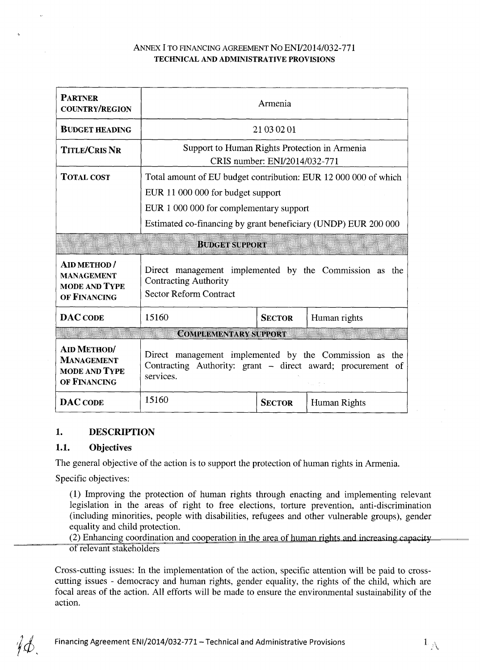## **ANNEX I ТО FINANCING AGREEMENT NO ENI/2014/032-771 TECHNICAL AND ADMINISTRATIVE PROVISIONS**

| <b>PARTNER</b><br><b>COUNTRY/REGION</b>                                          | Armenia                                                                                                                            |                               |              |  |  |
|----------------------------------------------------------------------------------|------------------------------------------------------------------------------------------------------------------------------------|-------------------------------|--------------|--|--|
| <b>BUDGET HEADING</b>                                                            |                                                                                                                                    | 21 03 02 01                   |              |  |  |
| <b>TITLE/CRIS NR</b>                                                             | Support to Human Rights Protection in Armenia                                                                                      | CRIS number: ENI/2014/032-771 |              |  |  |
| <b>TOTAL COST</b>                                                                | Total amount of EU budget contribution: EUR 12 000 000 of which                                                                    |                               |              |  |  |
|                                                                                  | EUR 11 000 000 for budget support                                                                                                  |                               |              |  |  |
|                                                                                  | EUR 1 000 000 for complementary support                                                                                            |                               |              |  |  |
|                                                                                  | Estimated co-financing by grant beneficiary (UNDP) EUR 200 000                                                                     |                               |              |  |  |
|                                                                                  | <b>BUDGET SUPPORT</b>                                                                                                              |                               |              |  |  |
| <b>AID METHOD /</b><br><b>MANAGEMENT</b><br><b>MODE AND TYPE</b><br>OF FINANCING | Direct management implemented by the Commission as the<br><b>Contracting Authority</b><br><b>Sector Reform Contract</b>            |                               |              |  |  |
| <b>DAC CODE</b>                                                                  | 15160                                                                                                                              | <b>SECTOR</b>                 | Human rights |  |  |
|                                                                                  | <b>COMPLEMENTARY SUPPORT</b>                                                                                                       |                               |              |  |  |
| <b>AID METHOD/</b><br><b>MANAGEMENT</b><br><b>MODE AND TYPE</b><br>OF FINANCING  | Direct management implemented by the Commission as the<br>Contracting Authority: grant - direct award; procurement of<br>services. |                               |              |  |  |
| <b>DAC CODE</b>                                                                  | 15160                                                                                                                              | <b>SECTOR</b>                 | Human Rights |  |  |

# **1. DESCRIPTION**

# **1.1. Objectives**

The general objective of the action is to support the protection of human rights in Armenia.

Specific objectives:

(1) Improving the protection of human rights through enacting and implementing relevant legislation in the areas of right to free elections, torture prevention, anti-discrimination (including minorities, people with disabilities, refugees and other vulnerable groups), gender equality and child protection.

(2) Enhancing coordination and cooperation in the area of human rights and increasing capacity of relevant stakeholders

Cross-cutting issues: In the implementation of the action, specific attention will be paid to crosscutting issues - democracy and human rights, gender equality, the rights of the child, which are focal areas of the action. All efforts will be made to ensure the environmental sustainability of the action.

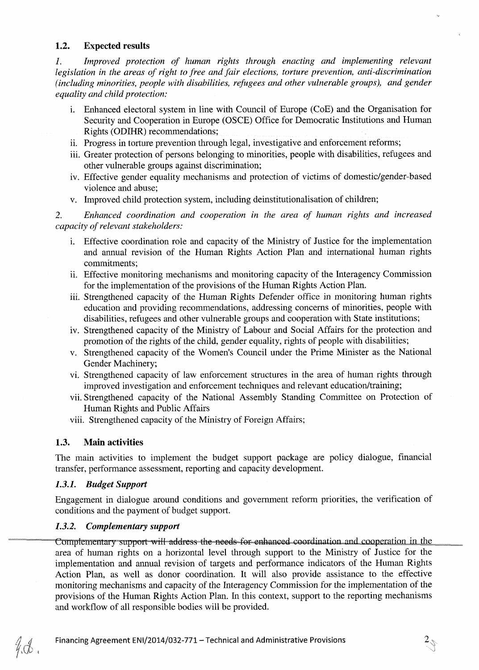### **1.2. Expected results**

*1. Improved protection of human rights through enacting and implementing relevant legislation in the areas of right to free and fair elections, torture prevention, anti-discrimination (including minorities, people with disabilities, refugees and other vulnerable groups), and gender equality and child protection:* 

- i. Enhanced electoral system in line with Council of Europe (CoE) and the Organisation for Security and Cooperation in Europe (OSCE) Office for Democratic Institutions and Human Rights (ODIHR) recommendations;
- ii. Progress in torture prevention through legal, investigative and enforcement reforms;
- iii. Greater protection of persons belonging to minorities, people with disabilities, refugees and other vulnerable groups against discrimination;
- iv. Effective gender equality mechanisms and protection of victims of domestic/gender-based violence and abuse;
- v. Improved child protection system, including deinstitutionalisation of children;

2. *Enhanced coordination and cooperation in the area of human rights and increased capacity of relevant stakeholders:* 

- i. Effective coordination role and capacity of the Ministry of Justice for the implementation and annual revision of the Human Rights Action Plan and international human rights commitments;
- ii. Effective monitoring mechanisms and monitoring capacity of the Interagency Commission for the implementation of the provisions of the Human Rights Action Plan.
- iii. Strengthened capacity of the Human Rights Defender office in monitoring human rights education and providing recommendations, addressing concerns of minorities, people with disabilities, refugees and other vulnerable groups and cooperation with State institutions;
- iv. Strengthened capacity of the Ministry of Labour and Social Affairs for the protection and promotion of the rights of the child, gender equality, rights of people with disabilities;
- v. Strengthened capacity of the Women's Council under the Prime Minister as the National Gender Machinery;
- vi. Strengthened capacity of law enforcement structures in the area of human rights through improved investigation and enforcement techniques and relevant education/training;
- vii. Strengthened capacity of the National Assembly Standing Committee on Protection of Human Rights and Public Affairs
- viii. Strengthened capacity of the Ministry of Foreign Affairs;

# **1.3. Main activities**

The main activities to implement the budget support package are policy dialogue, financial transfer, performance assessment, reporting and capacity development.

### *1.3.1. Budget Support*

 $4\sigma$ 

Engagement in dialogue around conditions and government reform priorities, the verification of conditions and the payment of budget support.

# *1.3.2. Complementary support*

Complementary support will address the needs for enhanced coordination and cooperation in the area of human rights on a horizontal level through support to the Ministry of Justice for the implementation and annual revision of targets and performance indicators of the Human Rights Action Plan, as well as donor coordination. It will also provide assistance to the effective monitoring mechanisms and capacity of the Interagency Commission for the implementation of the provisions of the Human Rights Action Plan. In this context, support to the reporting mechanisms and workflow of all responsible bodies will be provided.

 $\sqrt[2]{3}$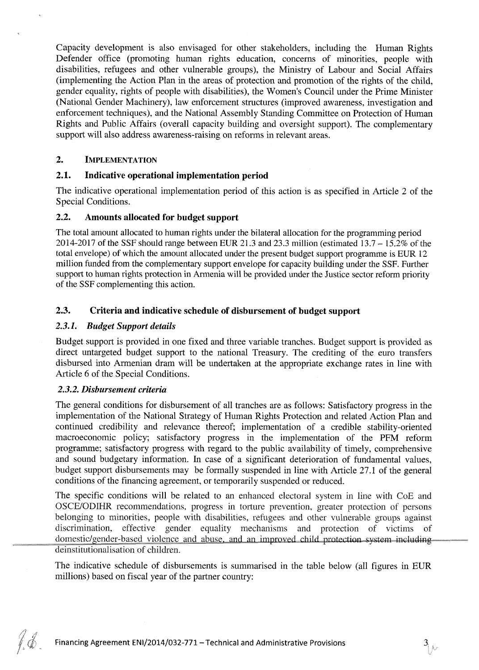Capacity development is also envisaged for other stakeholders, including the Human Rights Defender office (promoting human rights education, concerns of minorities, people with disabilities, refugees and other vulnerable groups), the Ministry of Labour and Social Affairs (implementing the Action Plan in the areas of protection and promotion of the rights of the child, gender equality, rights of people with disabilities), the Women's Council under the Prime Minister (National Gender Machinery), law enforcement structures (improved awareness, investigation and enforcement techniques), and the National Assembly Standing Committee on Protection of Human Rights and Public Affairs (overall capacity building and oversight support). The complementary support will also address awareness-raising on reforms in relevant areas.

### **2. IMPLEMENTATION**

### **2.1. Indicative operational implementation period**

The indicative operational implementation period of this action is as specified in Article 2 of the Special Conditions.

### **2.2. Amounts allocated for budget support**

The total amount allocated to human rights under the bilateral allocation for the programming period 2014-2017 of the SSF should range between EUR 21.3 and 23.3 million (estimated  $13.7 - 15.2\%$  of the total envelope) of which the amount allocated under the present budget support programme is EUR 12 million funded from the complementary support envelope for capacity building under the SSF. Further support to human rights protection in Armenia will be provided under the Justice sector reform priority of the SSF complementing this action.

## **2.3. Criteria and indicative schedule of disbursement of budget support**

## *2.3.1. Budget Support details*

Budget support is provided in one fixed and three variable tranches. Budget support is provided as direct untargeted budget support to the national Treasury. The crediting of the euro transfers disbursed into Armenian dram will be undertaken at the appropriate exchange rates in line with Article 6 of the Special Conditions.

### *2.3.2. Disbursement criteria*

The general conditions for disbursement of all tranches are as follows: Satisfactory progress in the implementation of the National Strategy of Human Rights Protection and related Action Plan and continued credibility and relevance thereof; implementation of a credible stability-oriented macroeconomic policy; satisfactory progress in the implementation of the PFM reform programme; satisfactory progress with regard to the public availability of timely, comprehensive and sound budgetary information. In case of a significant deterioration of fundamental values, budget support disbursements may be formally suspended in line with Article 27.1 of the general conditions of the financing agreement, or temporarily suspended or reduced.

The specific conditions will be related to an enhanced electoral system in line with CoE and OSCE/ODIHR recommendations, progress in torture prevention, greater protection of persons belonging to minorities, people with disabilities, refugees and other vulnerable groups against discrimination, effective gender equality mechanisms and protection of victims of domestic/gender-based violence and abuse, and an improved child protection system including deinstitutionalisation of children.

The indicative schedule of disbursements is summarised in the table below (all figures in EUR millions) based on fiscal year of the partner country: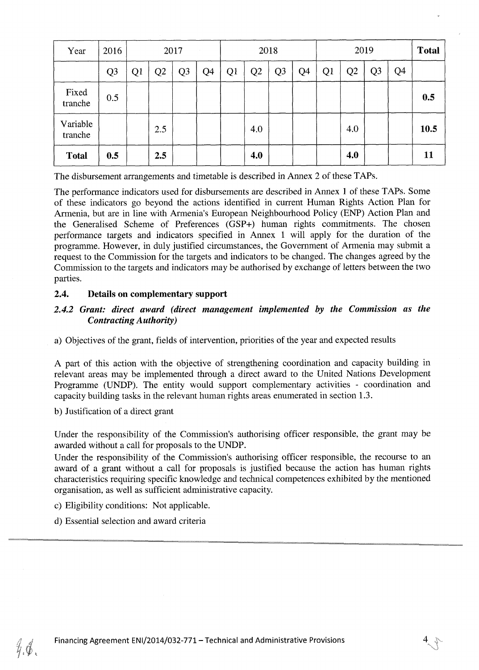| Year                | 2016           |    |                | 2017           |    |    |     | 2018 |    |    |                | 2019 |                | <b>Total</b> |
|---------------------|----------------|----|----------------|----------------|----|----|-----|------|----|----|----------------|------|----------------|--------------|
|                     | Q <sub>3</sub> | Q1 | Q <sub>2</sub> | Q <sub>3</sub> | Q4 | Q1 | Q2  | Q3   | Q4 | Q1 | Q <sub>2</sub> | Q3   | Q <sub>4</sub> |              |
| Fixed<br>tranche    | 0.5            |    |                |                |    |    |     |      |    |    |                |      |                | 0.5          |
| Variable<br>tranche |                |    | 2.5            |                |    |    | 4.0 |      |    |    | 4.0            |      |                | 10.5         |
| <b>Total</b>        | 0.5            |    | 2.5            |                |    |    | 4.0 |      |    |    | 4.0            |      |                | 11           |

The disbursement arrangements and timetable is described in Annex 2 of these TAPs.

The performance indicators used for disbursements are described in Annex 1 of these TAPs. Some of these indicators go beyond the actions identified in current Human Rights Action Plan for Armenia, but are in line with Armenia's European Neighbourhood Policy (ENP) Action Plan and the Generalised Scheme of Preferences (GSP+) human rights commitments. The chosen performance targets and indicators specified in Annex 1 will apply for the duration of the programme. However, in duly justified circumstances, the Government of Armenia may submit a request to the Commission for the targets and indicators to be changed. The changes agreed by the Commission to the targets and indicators may be authorised by exchange of letters between the two parties.

### **2.4. Details on complementary support**

# *2.4.2 Grant: direct award (direct management implemented by the Commission as the Contracting Authority)*

a) Objectives of the grant, fields of intervention, priorities of the year and expected results

A part of this action with the objective of strengthening coordination and capacity building in relevant areas may be implemented through a direct award to the United Nations Development Programme (UNDP). The entity would support complementary activities - coordination and capacity building tasks in the relevant human rights areas enumerated in section 1.3.

b) Justification of a direct grant

Under the responsibility of the Commission's authorising officer responsible, the grant may be awarded without a call for proposals to the UNDP.

Under the responsibility of the Commission's authorising officer responsible, the recourse to an award of a grant without a call for proposals is justified because the action has human rights characteristics requiring specific knowledge and technical competences exhibited by the mentioned organisation, as well as sufficient administrative capacity.

- c) Eligibility conditions: Not applicable.
- d) Essential selection and award criteria

Ý,Ø,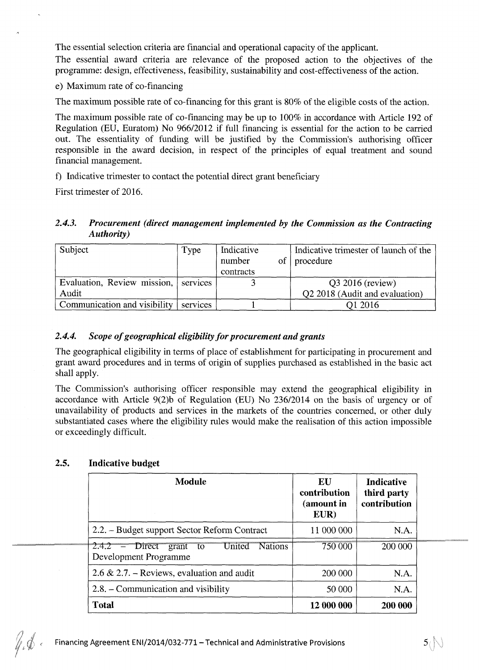The essential selection criteria are financial and operational capacity of the applicant.

The essential award criteria are relevance of the proposed action to the objectives of the programme: design, effectiveness, feasibility, sustainability and cost-effectiveness of the action.

e) Maximum rate of co-financing

The maximum possible rate of co-financing for this grant is 80% of the eligible costs of the action.

The maximum possible rate of co-financing may be up to 100% in accordance with Article 192 of Regulation (EU, Euratom) No 966/2012 if full financing is essential for the action to be carried out. The essentiality of funding will be justified by the Commission's authorising officer responsible in the award decision, in respect of the principles of equal treatment and sound financial management.

f) Indicative trimester to contact the potential direct grant beneficiary

First trimester of 2016.

## *2.4.3. Procurement (direct management implemented by the Commission as the Contracting Authority)*

| Subject                      | Type     | Indicative<br>number<br>contracts | of | Indicative trimester of launch of the<br>procedure |
|------------------------------|----------|-----------------------------------|----|----------------------------------------------------|
| Evaluation, Review mission,  | services |                                   |    | $Q3 2016$ (review)                                 |
| Audit                        |          |                                   |    | Q2 2018 (Audit and evaluation)                     |
| Communication and visibility | services |                                   |    | Q1 2016                                            |

# *2.4.4. Scope of geographical eligibility for procurement and grants*

The geographical eligibility in terms of place of establishment for participating in procurement and grant award procedures and in terms of origin of supplies purchased as established in the basic act shall apply.

The Commission's authorising officer responsible may extend the geographical eligibility in accordance with Article 9(2)b of Regulation (EU) No 236/2014 on the basis of urgency or of unavailability of products and services in the markets of the countries concerned, or other duly substantiated cases where the eligibility rules would make the realisation of this action impossible or exceedingly difficult.

| <b>Module</b>                                                                          | EU<br>contribution<br>(amount in<br>EUR) | <b>Indicative</b><br>third party<br>contribution |
|----------------------------------------------------------------------------------------|------------------------------------------|--------------------------------------------------|
| 2.2. – Budget support Sector Reform Contract                                           | 11 000 000                               | N.A.                                             |
| $2.4.2$ - Direct<br><b>Nations</b><br>United<br>grant<br>- to<br>Development Programme | 750 000                                  | 200 000                                          |
| 2.6 & 2.7. – Reviews, evaluation and audit                                             | 200 000                                  | N.A.                                             |
| 2.8. – Communication and visibility                                                    | 50 000                                   | N.A.                                             |
| <b>Total</b>                                                                           | 12 000 000                               | 200 000                                          |

# **2.5. Indicative budget**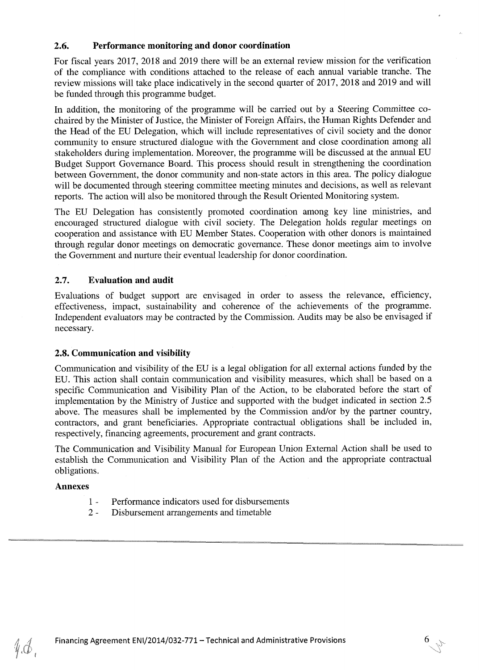## **2.6. Performance monitoring and donor coordination**

For fiscal years 2017, 2018 and 2019 there will be an external review mission for the verification of the compliance with conditions attached to the release of each annual variable tranche. The review missions will take place indicatively in the second quarter of 2017, 2018 and 2019 and will be funded through this programme budget.

In addition, the monitoring of the programme will be carried out by a Steering Committee cochaired by the Minister of Justice, the Minister of Foreign Affairs, the Human Rights Defender and the Head of the EU Delegation, which will include representatives of civil society and the donor community to ensure structured dialogue with the Government and close coordination among all stakeholders during implementation. Moreover, the programme will be discussed at the annual EU Budget Support Governance Board. This process should result in strengthening the coordination between Government, the donor community and non-state actors in this area. The policy dialogue will be documented through steering committee meeting minutes and decisions, as well as relevant reports. The action will also be monitored through the Result Oriented Monitoring system.

The EU Delegation has consistently promoted coordination among key line ministries, and encouraged structured dialogue with civil society. The Delegation holds regular meetings on cooperation and assistance with EU Member States. Cooperation with other donors is maintained through regular donor meetings on democratic governance. These donor meetings aim to involve the Government and nurture their eventual leadership for donor coordination.

## **2.7. Evaluation and audit**

Evaluations of budget support are envisaged in order to assess the relevance, efficiency, effectiveness, impact, sustainability and coherence of the achievements of the programme. Independent evaluators may be contracted by the Commission. Audits may be also be envisaged if necessary.

# **2.8. Communication and visibility**

Communication and visibility of the EU is a legal obligation for all external actions funded by the EU. This action shall contain communication and visibility measures, which shall be based on a specific Communication and Visibility Plan of the Action, to be elaborated before the start of implementation by the Ministry of Justice and supported with the budget indicated in section 2.5 above. The measures shall be implemented by the Commission and/or by the partner country, contractors, and grant beneficiaries. Appropriate contractual obligations shall be included in, respectively, financing agreements, procurement and grant contracts.

The Communication and Visibility Manual for European Union External Action shall be used to establish the Communication and Visibility Plan of the Action and the appropriate contractual obligations.

### **Annexes**

 $\mathscr{U}$ 

- 1 Performance indicators used for disbursements
- 2 Disbursement arrangements and timetable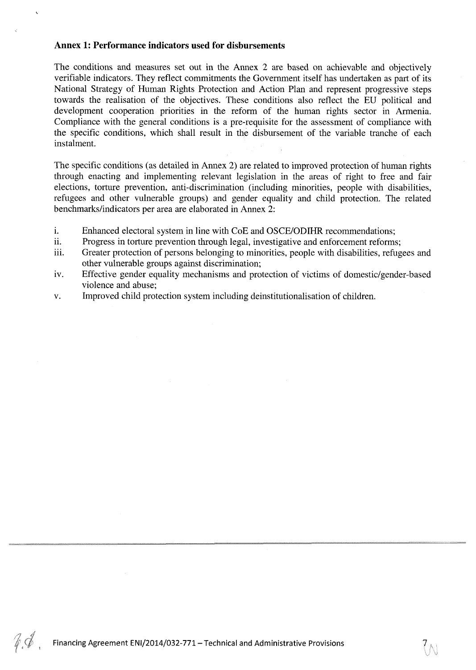### **Annex 1: Performance indicators used for disbursements**

The conditions and measures set out in the Annex 2 are based on achievable and objectively verifiable indicators. They reflect commitments the Government itself has undertaken as part of its National Strategy of Human Rights Protection and Action Plan and represent progressive steps towards the realisation of the objectives. These conditions also reflect the EU political and development cooperation priorities in the reform of the human rights sector in Armenia. Compliance with the general conditions is a pre-requisite for the assessment of compliance with the specific conditions, which shall result in the disbursement of the variable tranche of each instalment.

The specific conditions (as detailed in Annex 2) are related to improved protection of human rights through enacting and implementing relevant legislation in the areas of right to free and fair elections, torture prevention, anti-discrimination (including minorities, people with disabilities, refugees and other vulnerable groups) and gender equality and child protection. The related benchmarks/indicators per area are elaborated in Annex 2:

- i. Enhanced electoral system in line with CoE and OSCE/ODIHR recommendations;
- ii. Progress in torture prevention through legal, investigative and enforcement reforms;
- iii. Greater protection of persons belonging to minorities, people with disabilities, refugees and other vulnerable groups against discrimination;
- iv. Effective gender equality mechanisms and protection of victims of domestic/gender-based violence and abuse;
- v. Improved child protection system including deinstitutionalisation of children.

 $\mathscr{C}$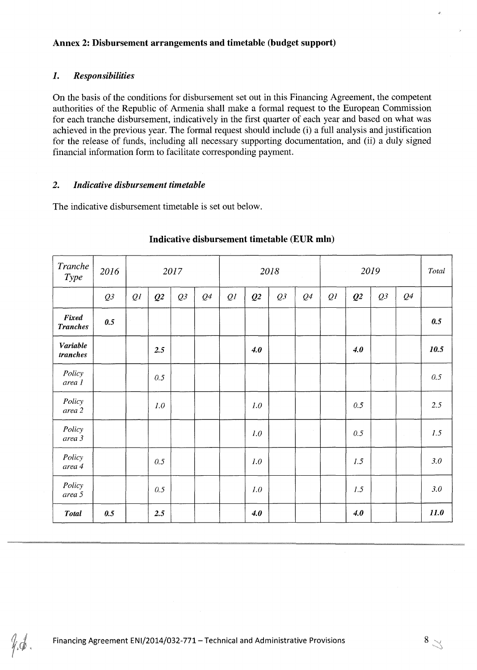### **Annex 2: Disbursement arrangements and timetable (budget support)**

## *1. Responsibilities*

On the basis of the conditions for disbursement set out in this Financing Agreement, the competent authorities of the Republic of Armenia shall make a formal request to the European Commission for each tranche disbursement, indicatively in the first quarter of each year and based on what was achieved in the previous year. The formal request should include (i) a full analysis and justification for the release of funds, including all necessary supporting documentation, and (ii) a duly signed financial information form to facilitate corresponding payment.

### *2. Indicative disbursement timetable*

The indicative disbursement timetable is set out below.

| Tranche<br>Type          | 2016 |    |                | 2017 | $\sim 10$      |    |                | 2018 |        |    | $\sim$         | 2019   |                | Total |
|--------------------------|------|----|----------------|------|----------------|----|----------------|------|--------|----|----------------|--------|----------------|-------|
|                          | Q3   | QI | Q <sub>2</sub> | Q3   | Q <sup>4</sup> | QI | Q <sub>2</sub> | Q3   | Q4     | QI | Q <sub>2</sub> | Q3     | Q <sub>4</sub> |       |
| Fixed<br><b>Tranches</b> | 0.5  |    |                |      |                |    |                |      |        |    |                |        |                | 0.5   |
| Variable<br>tranches     |      |    | 2.5            |      |                |    | 4.0            |      | $\sim$ |    | 4.0            |        |                | 10.5  |
| Policy<br>area 1         |      |    | 0.5            |      |                |    |                |      |        |    |                | $\sim$ |                | 0.5   |
| Policy<br>area 2         |      |    | 1.0            |      |                |    | 1.0            |      |        |    | 0.5            |        |                | 2.5   |
| Policy<br>area 3         |      |    |                |      |                |    | 1.0            |      | $\sim$ |    | 0.5            |        | $\sim$         | 1.5   |
| Policy<br>area 4         |      |    | 0.5            |      |                |    | 1.0            |      |        |    | 1.5            |        |                | 3.0   |
| Policy<br>area 5         |      |    | 0.5            |      |                |    | 1.0            |      |        |    | 1.5            |        |                | 3.0   |
| <b>Total</b>             | 0.5  |    | 2.5            |      |                |    | 4.0            |      |        |    | 4.0            |        |                | 11.0  |

# **Indicative disbursement timetable (EUR mln)**

 $\mathscr{U}$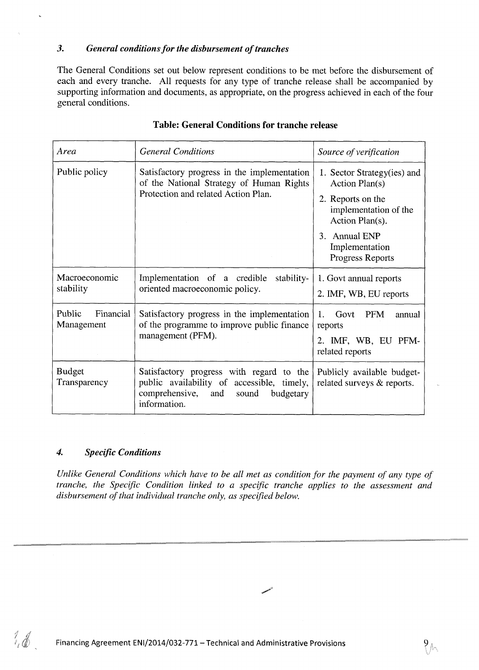## *3. General conditions for the disbursement of tranches*

The General Conditions set out below represent conditions to be met before the disbursement of each and every tranche. All requests for any type of tranche release shall be accompanied by supporting information and documents, as appropriate, on the progress achieved in each of the four general conditions.

| Area                              | <b>General Conditions</b>                                                                                                                          | Source of verification                                                                                                                                                |
|-----------------------------------|----------------------------------------------------------------------------------------------------------------------------------------------------|-----------------------------------------------------------------------------------------------------------------------------------------------------------------------|
| Public policy                     | Satisfactory progress in the implementation<br>of the National Strategy of Human Rights<br>Protection and related Action Plan.                     | 1. Sector Strategy(ies) and<br>Action Plan(s)<br>2. Reports on the<br>implementation of the<br>Action Plan(s).<br>3. Annual ENP<br>Implementation<br>Progress Reports |
| Macroeconomic<br>stability        | Implementation of a credible stability-<br>oriented macroeconomic policy.                                                                          | 1. Govt annual reports<br>2. IMF, WB, EU reports                                                                                                                      |
| Financial<br>Public<br>Management | Satisfactory progress in the implementation<br>of the programme to improve public finance<br>management (PFM).                                     | Govt<br><b>PFM</b><br>1.<br>annual<br>reports<br>2. IMF, WB, EU PFM-<br>related reports                                                                               |
| <b>Budget</b><br>Transparency     | Satisfactory progress with regard to the<br>public availability of accessible, timely,<br>comprehensive, and<br>sound<br>budgetary<br>information. | Publicly available budget-<br>related surveys & reports.                                                                                                              |

### **Table: General Conditions for tranche release**

## *4. Specific Conditions*

 $\mathcal{H}_{\ell}$ 

*Unlike General Conditions which have to be all met as condition for the payment of any type of tranche, the Specific Condition linked to a specific tranche applies to the assessment and disbursement of that individual tranche only, as specified below.*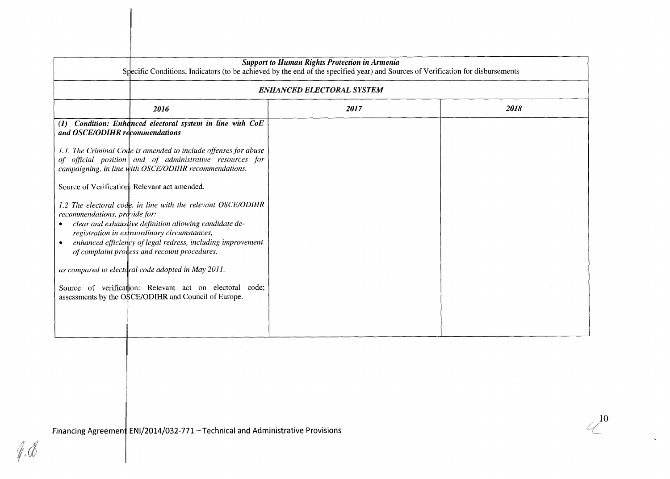| Specific Conditions, Indicators (to be achieved by the end of the specified year) and Sources of Verification for disbursements                                                                                                                                                                                        | <b>Support to Human Rights Protection in Armenia</b> |      |  |  |  |  |  |
|------------------------------------------------------------------------------------------------------------------------------------------------------------------------------------------------------------------------------------------------------------------------------------------------------------------------|------------------------------------------------------|------|--|--|--|--|--|
|                                                                                                                                                                                                                                                                                                                        | <b>ENHANCED ELECTORAL SYSTEM</b>                     |      |  |  |  |  |  |
| 2016                                                                                                                                                                                                                                                                                                                   | 2017                                                 | 2018 |  |  |  |  |  |
| (1) Condition: Enhanced electoral system in line with CoE<br>and OSCE/ODIHR recommendations                                                                                                                                                                                                                            |                                                      |      |  |  |  |  |  |
| 1.1. The Criminal Code is amended to include offenses for abuse<br>of official position and of administrative resources for<br>campaigning, in line with OSCE/ODIHR recommendations.                                                                                                                                   |                                                      |      |  |  |  |  |  |
| Source of Verification: Relevant act amended.                                                                                                                                                                                                                                                                          |                                                      |      |  |  |  |  |  |
| 1.2 The electoral code, in line with the relevant OSCE/ODIHR<br>recommendations, provide for:<br>clear and exhaustive definition allowing candidate de-<br>registration in extraordinary circumstances,<br>enhanced efficiency of legal redress, including improvement<br>of complaint process and recount procedures, |                                                      |      |  |  |  |  |  |
| as compared to electoral code adopted in May 2011.                                                                                                                                                                                                                                                                     |                                                      |      |  |  |  |  |  |
| Source of verification: Relevant act on electoral code;<br>assessments by the OSCE/ODIHR and Council of Europe.                                                                                                                                                                                                        |                                                      |      |  |  |  |  |  |
|                                                                                                                                                                                                                                                                                                                        |                                                      |      |  |  |  |  |  |

 $\mathbb{Z}^{10}$ 

 $\Delta$ 

Financing Agreement ENI/2014/032-771 - Technical and Administrative Provisions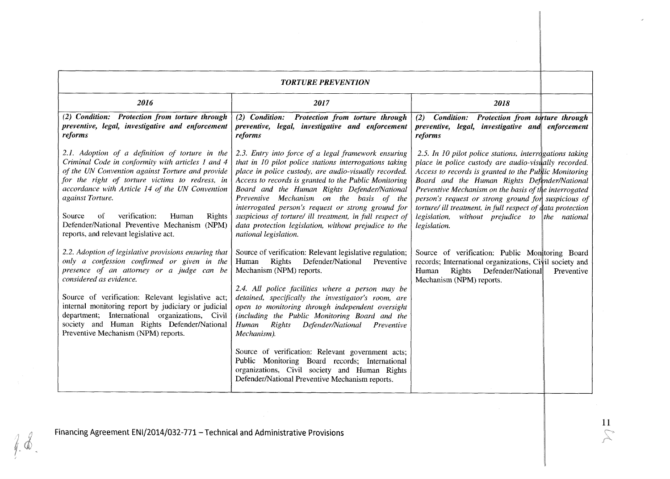| <b>TORTURE PREVENTION</b>                                                                                                                                                                                                                                                                                                                                                                                                        |                                                                                                                                                                                                                                                                                                                                                                                                                                                                                                                                                                                                                                          |                                                                                                                                                                                                                                                                                                                                                                                                                                                                          |            |  |  |  |  |
|----------------------------------------------------------------------------------------------------------------------------------------------------------------------------------------------------------------------------------------------------------------------------------------------------------------------------------------------------------------------------------------------------------------------------------|------------------------------------------------------------------------------------------------------------------------------------------------------------------------------------------------------------------------------------------------------------------------------------------------------------------------------------------------------------------------------------------------------------------------------------------------------------------------------------------------------------------------------------------------------------------------------------------------------------------------------------------|--------------------------------------------------------------------------------------------------------------------------------------------------------------------------------------------------------------------------------------------------------------------------------------------------------------------------------------------------------------------------------------------------------------------------------------------------------------------------|------------|--|--|--|--|
| 2016                                                                                                                                                                                                                                                                                                                                                                                                                             | 2017                                                                                                                                                                                                                                                                                                                                                                                                                                                                                                                                                                                                                                     | 2018                                                                                                                                                                                                                                                                                                                                                                                                                                                                     |            |  |  |  |  |
| (2) Condition: Protection from torture through<br>preventive, legal, investigative and enforcement<br>reforms                                                                                                                                                                                                                                                                                                                    | (2) Condition: Protection from torture through<br>preventive, legal, investigative and enforcement<br>reforms                                                                                                                                                                                                                                                                                                                                                                                                                                                                                                                            | (2) Condition: Protection from torture through<br>preventive, legal, investigative and enforcement<br>reforms                                                                                                                                                                                                                                                                                                                                                            |            |  |  |  |  |
| 2.1. Adoption of a definition of torture in the<br>Criminal Code in conformity with articles 1 and 4<br>of the UN Convention against Torture and provide<br>for the right of torture victims to redress, in<br>accordance with Article 14 of the UN Convention<br>against Torture.<br>verification:<br>Source<br>of<br>Human<br>Rights<br>Defender/National Preventive Mechanism (NPM)<br>reports, and relevant legislative act. | 2.3. Entry into force of a legal framework ensuring<br>that in 10 pilot police stations interrogations taking<br>place in police custody, are audio-visually recorded.<br>Access to records is granted to the Public Monitoring<br>Board and the Human Rights Defender/National<br>Preventive Mechanism on the basis of the<br>interrogated person's request or strong ground for<br>suspicious of torture/ ill treatment, in full respect of<br>data protection legislation, without prejudice to the<br>national legislation.                                                                                                          | 2.5. In 10 pilot police stations, interrogations taking<br>place in police custody are audio-visually recorded.<br>Access to records is granted to the Public Monitoring<br>Board and the Human Rights Defender/National<br>Preventive Mechanism on the basis of the interrogated<br>person's request or strong ground for suspicious of<br>torture/ ill treatment, in full respect of data protection<br>legislation, without prejudice to the national<br>legislation. |            |  |  |  |  |
| 2.2. Adoption of legislative provisions ensuring that<br>only a confession confirmed or given in the<br>presence of an attorney or a judge can be<br>considered as evidence.<br>Source of verification: Relevant legislative act;<br>internal monitoring report by judiciary or judicial<br>department; International organizations, Civil<br>society and Human Rights Defender/National<br>Preventive Mechanism (NPM) reports.  | Source of verification: Relevant legislative regulation;<br>Rights<br>Defender/National<br>Human<br>Preventive<br>Mechanism (NPM) reports.<br>2.4. All police facilities where a person may be<br>detained, specifically the investigator's room, are<br>open to monitoring through independent oversight<br>(including the Public Monitoring Board and the<br>Defender/National Preventive<br>Human<br>Rights<br>Mechanism).<br>Source of verification: Relevant government acts;<br>Public Monitoring Board records; International<br>organizations, Civil society and Human Rights<br>Defender/National Preventive Mechanism reports. | Source of verification: Public Monitoring Board<br>records; International organizations, Civil society and<br>Human<br>Rights<br>Defender/National<br>Mechanism (NPM) reports.                                                                                                                                                                                                                                                                                           | Preventive |  |  |  |  |

 $4.8$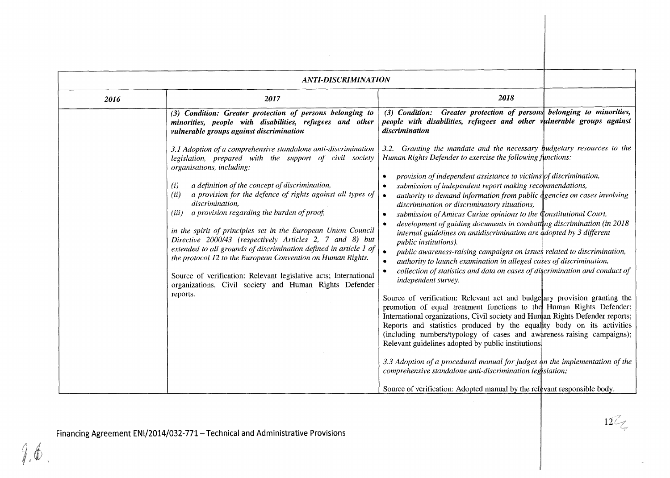|      | <b>ANTI-DISCRIMINATION</b>                                                                                                                                                                                                                                                                                                                                                                                                                                                                                                                                                                                                                                                                                                                                                 |                                                                                                                                                                                                                                                                                                                                                                                                                                                                                                                                                                                                                                                                                                                                                                                                                                                                                                                                                                                                                                                                                                                                                                                                                                                                                                                                                                                                                                                                                                                                                                                                                                                         |
|------|----------------------------------------------------------------------------------------------------------------------------------------------------------------------------------------------------------------------------------------------------------------------------------------------------------------------------------------------------------------------------------------------------------------------------------------------------------------------------------------------------------------------------------------------------------------------------------------------------------------------------------------------------------------------------------------------------------------------------------------------------------------------------|---------------------------------------------------------------------------------------------------------------------------------------------------------------------------------------------------------------------------------------------------------------------------------------------------------------------------------------------------------------------------------------------------------------------------------------------------------------------------------------------------------------------------------------------------------------------------------------------------------------------------------------------------------------------------------------------------------------------------------------------------------------------------------------------------------------------------------------------------------------------------------------------------------------------------------------------------------------------------------------------------------------------------------------------------------------------------------------------------------------------------------------------------------------------------------------------------------------------------------------------------------------------------------------------------------------------------------------------------------------------------------------------------------------------------------------------------------------------------------------------------------------------------------------------------------------------------------------------------------------------------------------------------------|
| 2016 | 2017                                                                                                                                                                                                                                                                                                                                                                                                                                                                                                                                                                                                                                                                                                                                                                       | 2018                                                                                                                                                                                                                                                                                                                                                                                                                                                                                                                                                                                                                                                                                                                                                                                                                                                                                                                                                                                                                                                                                                                                                                                                                                                                                                                                                                                                                                                                                                                                                                                                                                                    |
|      | (3) Condition: Greater protection of persons belonging to<br>minorities, people with disabilities, refugees and other<br>vulnerable groups against discrimination                                                                                                                                                                                                                                                                                                                                                                                                                                                                                                                                                                                                          | (3) Condition: Greater protection of persons belonging to minorities,<br>people with disabilities, refugees and other vulnerable groups against<br>discrimination                                                                                                                                                                                                                                                                                                                                                                                                                                                                                                                                                                                                                                                                                                                                                                                                                                                                                                                                                                                                                                                                                                                                                                                                                                                                                                                                                                                                                                                                                       |
|      | 3.1 Adoption of a comprehensive standalone anti-discrimination<br>legislation, prepared with the support of civil society<br>organisations, including:<br>a definition of the concept of discrimination,<br>(i)<br>a provision for the defence of rights against all types of<br>(ii)<br>discrimination.<br>a provision regarding the burden of proof,<br>(iii)<br>in the spirit of principles set in the European Union Council<br>Directive 2000/43 (respectively Articles 2, 7 and 8) but<br>extended to all grounds of discrimination defined in article 1 of<br>the protocol 12 to the European Convention on Human Rights.<br>Source of verification: Relevant legislative acts; International<br>organizations, Civil society and Human Rights Defender<br>reports. | 3.2. Granting the mandate and the necessary budgetary resources to the<br>Human Rights Defender to exercise the following functions:<br>provision of independent assistance to victims of discrimination,<br>submission of independent report making recommendations,<br>۰<br>authority to demand information from public dgencies on cases involving<br>$\bullet$<br>discrimination or discriminatory situations,<br>submission of Amicus Curiae opinions to the Constitutional Court,<br>$\bullet$<br>development of guiding documents in combatting discrimination (in 2018)<br>$\bullet$<br>internal guidelines on antidiscrimination are adopted by 3 different<br>public institutions).<br>public awareness-raising campaigns on issues related to discrimination,<br>authority to launch examination in alleged cases of discrimination,<br>$\bullet$<br>collection of statistics and data on cases of discrimination and conduct of<br>$\bullet$<br>independent survey.<br>Source of verification: Relevant act and budgetary provision granting the<br>promotion of equal treatment functions to the Human Rights Defender;<br>International organizations, Civil society and Human Rights Defender reports;<br>Reports and statistics produced by the equality body on its activities<br>(including numbers/typology of cases and awareness-raising campaigns);<br>Relevant guidelines adopted by public institutions<br>3.3 Adoption of a procedural manual for judges on the implementation of the<br>comprehensive standalone anti-discrimination legislation;<br>Source of verification: Adopted manual by the relevant responsible body. |

 $12\%$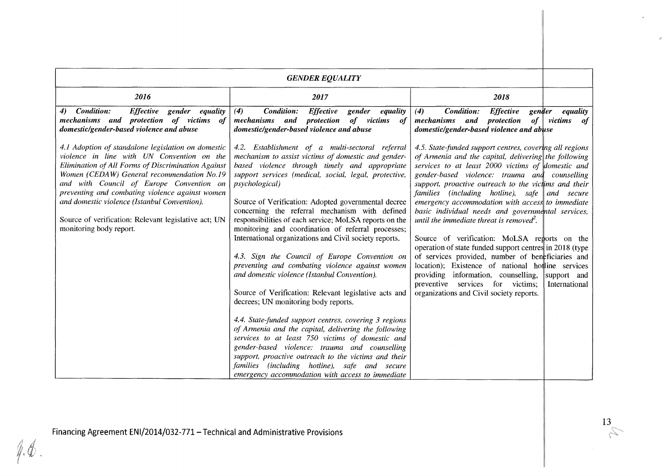| <b>GENDER EQUALITY</b>                                                                                                                                                                                                                                                                                                                                                                                                                 |                                                                                                                                                                                                                                                                                                                                                                                                                                                                                                                                                                                                                                                                                                                                                                                                                                                                                                                                                                                                                                                                                                                                                                       |                                                                                                                                                                                                                                                                                                                                                                                                                                                                                                                                                                                                                                                                                                                                                                                                                                              |                              |  |  |  |  |
|----------------------------------------------------------------------------------------------------------------------------------------------------------------------------------------------------------------------------------------------------------------------------------------------------------------------------------------------------------------------------------------------------------------------------------------|-----------------------------------------------------------------------------------------------------------------------------------------------------------------------------------------------------------------------------------------------------------------------------------------------------------------------------------------------------------------------------------------------------------------------------------------------------------------------------------------------------------------------------------------------------------------------------------------------------------------------------------------------------------------------------------------------------------------------------------------------------------------------------------------------------------------------------------------------------------------------------------------------------------------------------------------------------------------------------------------------------------------------------------------------------------------------------------------------------------------------------------------------------------------------|----------------------------------------------------------------------------------------------------------------------------------------------------------------------------------------------------------------------------------------------------------------------------------------------------------------------------------------------------------------------------------------------------------------------------------------------------------------------------------------------------------------------------------------------------------------------------------------------------------------------------------------------------------------------------------------------------------------------------------------------------------------------------------------------------------------------------------------------|------------------------------|--|--|--|--|
| 2016                                                                                                                                                                                                                                                                                                                                                                                                                                   | 2017                                                                                                                                                                                                                                                                                                                                                                                                                                                                                                                                                                                                                                                                                                                                                                                                                                                                                                                                                                                                                                                                                                                                                                  | 2018                                                                                                                                                                                                                                                                                                                                                                                                                                                                                                                                                                                                                                                                                                                                                                                                                                         |                              |  |  |  |  |
| Condition:<br><b>Effective</b><br>gender equality<br>4)<br>mechanisms and protection of victims of<br>domestic/gender-based violence and abuse                                                                                                                                                                                                                                                                                         | Condition:<br><b>Effective</b><br>(4)<br>gender<br>equality<br>of victims<br>mechanisms and protection<br>of<br>domestic/gender-based violence and abuse                                                                                                                                                                                                                                                                                                                                                                                                                                                                                                                                                                                                                                                                                                                                                                                                                                                                                                                                                                                                              | Condition:<br><b>Effective</b><br>(4)<br>gender<br>mechanisms and protection<br>of<br>domestic/gender-based violence and abuse                                                                                                                                                                                                                                                                                                                                                                                                                                                                                                                                                                                                                                                                                                               | equality<br>victims<br>of    |  |  |  |  |
| 4.1 Adoption of standalone legislation on domestic<br>violence in line with UN Convention on the<br>Elimination of All Forms of Discrimination Against<br>Women (CEDAW) General recommendation No.19<br>and with Council of Europe Convention on<br>preventing and combating violence against women<br>and domestic violence (Istanbul Convention).<br>Source of verification: Relevant legislative act; UN<br>monitoring body report. | 4.2. Establishment of a multi-sectoral referral<br>mechanism to assist victims of domestic and gender-<br>based violence through timely and appropriate<br>support services (medical, social, legal, protective,<br><i>psychological</i> )<br>Source of Verification: Adopted governmental decree<br>concerning the referral mechanism with defined<br>responsibilities of each service; MoLSA reports on the<br>monitoring and coordination of referral processes;<br>International organizations and Civil society reports.<br>4.3. Sign the Council of Europe Convention on<br>preventing and combating violence against women<br>and domestic violence (Istanbul Convention).<br>Source of Verification: Relevant legislative acts and<br>decrees; UN monitoring body reports.<br>4.4. State-funded support centres, covering 3 regions<br>of Armenia and the capital, delivering the following<br>services to at least 750 victims of domestic and<br>gender-based violence: trauma and counselling<br>support, proactive outreach to the victims and their<br>families (including hotline), safe and secure<br>emergency accommodation with access to immediate | 4.5. State-funded support centres, covering all regions<br>of Armenia and the capital, delivering the following<br>services to at least 2000 victims of domestic and<br>gender-based violence: trauma and counselling<br>support, proactive outreach to the victims and their<br>families (including hotline), safe and secure<br>emergency accommodation with access to immediate<br>basic individual needs and governmental services,<br>until the immediate threat is removed <sup>2</sup> .<br>Source of verification: MoLSA reports on the<br>operation of state funded support centres in 2018 (type)<br>of services provided, number of beneficiaries and<br>location); Existence of national hottine services<br>providing information, counselling,<br>preventive services for victims;<br>organizations and Civil society reports. | support and<br>International |  |  |  |  |

 $\frac{13}{6}$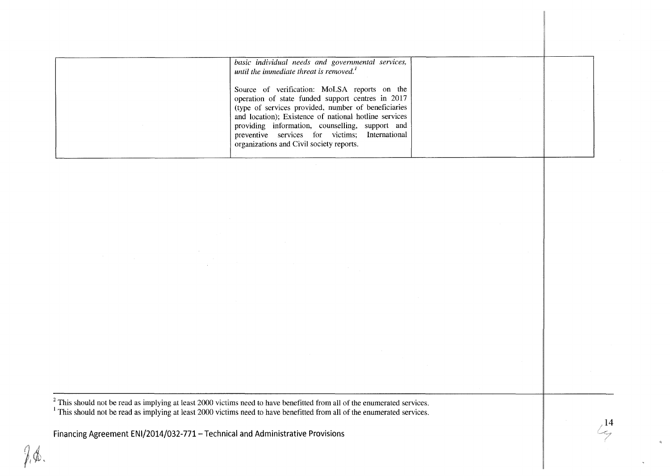| basic individual needs and governmental services,<br>until the immediate threat is removed. $'$                                                                                                                                                                                                                                                                     |  |
|---------------------------------------------------------------------------------------------------------------------------------------------------------------------------------------------------------------------------------------------------------------------------------------------------------------------------------------------------------------------|--|
| Source of verification: MoLSA reports on the<br>operation of state funded support centres in 2017<br>(type of services provided, number of beneficiaries)<br>and location); Existence of national hotline services<br>providing information, counselling, support and<br>preventive services for victims; International<br>organizations and Civil society reports. |  |

 $<sup>2</sup>$  This should not be read as implying at least 2000 victims need to have benefitted from all of the enumerated services.</sup> <sup>1</sup>This should not be read as implying at least 2000 victims need to have benefitted from all of the enumerated services.

**Financing Agreement ENI/2014/032-771-Technical and Administrative Provisions** 

 $\frac{14}{3}$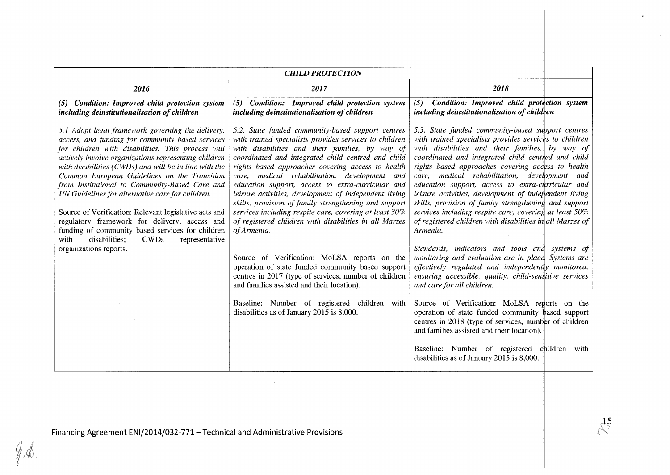| <b>CHILD PROTECTION</b>                                                                                                                                                                                                                                                                                                                                                                                                                                                                                                                                                                                                                                                               |                                                                                                                                                                                                                                                                                                                                                                                                                                                                                                                                                                                                                                      |                                                                                                                                                                                                                                                                                                                                                                                                                                                                                                                                                                                                                                                                                        |  |  |  |  |  |
|---------------------------------------------------------------------------------------------------------------------------------------------------------------------------------------------------------------------------------------------------------------------------------------------------------------------------------------------------------------------------------------------------------------------------------------------------------------------------------------------------------------------------------------------------------------------------------------------------------------------------------------------------------------------------------------|--------------------------------------------------------------------------------------------------------------------------------------------------------------------------------------------------------------------------------------------------------------------------------------------------------------------------------------------------------------------------------------------------------------------------------------------------------------------------------------------------------------------------------------------------------------------------------------------------------------------------------------|----------------------------------------------------------------------------------------------------------------------------------------------------------------------------------------------------------------------------------------------------------------------------------------------------------------------------------------------------------------------------------------------------------------------------------------------------------------------------------------------------------------------------------------------------------------------------------------------------------------------------------------------------------------------------------------|--|--|--|--|--|
| 2016                                                                                                                                                                                                                                                                                                                                                                                                                                                                                                                                                                                                                                                                                  | 2017                                                                                                                                                                                                                                                                                                                                                                                                                                                                                                                                                                                                                                 | 2018                                                                                                                                                                                                                                                                                                                                                                                                                                                                                                                                                                                                                                                                                   |  |  |  |  |  |
| (5) Condition: Improved child protection system<br>including deinstitutionalisation of children                                                                                                                                                                                                                                                                                                                                                                                                                                                                                                                                                                                       | Condition: Improved child protection system<br>(5)<br>including deinstitutionalisation of children                                                                                                                                                                                                                                                                                                                                                                                                                                                                                                                                   | Condition: Improved child protection system<br>(5)<br>including deinstitutionalisation of children                                                                                                                                                                                                                                                                                                                                                                                                                                                                                                                                                                                     |  |  |  |  |  |
| 5.1 Adopt legal framework governing the delivery,<br>access, and funding for community based services<br>for children with disabilities. This process will<br>actively involve organizations representing children<br>with disabilities $(CWDs)$ and will be in line with the<br>Common European Guidelines on the Transition<br>from Institutional to Community-Based Care and<br>UN Guidelines for alternative care for children.<br>Source of Verification: Relevant legislative acts and<br>regulatory framework for delivery, access and<br>funding of community based services for children<br>disabilities;<br><b>CWDs</b><br>representative<br>with<br>organizations reports. | 5.2. State funded community-based support centres<br>with trained specialists provides services to children<br>with disabilities and their families, by way of<br>coordinated and integrated child centred and child<br>rights based approaches covering access to health<br>care, medical rehabilitation, development and<br>education support, access to extra-curricular and<br>leisure activities, development of independent living<br>skills, provision of family strengthening and support<br>services including respite care, covering at least 30%<br>of registered children with disabilities in all Marzes<br>of Armenia. | 5.3. State funded community-based support centres<br>with trained specialists provides services to children<br>with disabilities and their families, by way of<br>coordinated and integrated child centred and child<br>rights based approaches covering access to health<br>care, medical rehabilitation, development and<br>education support, access to extra-curricular and<br>leisure activities, development of independent living<br>skills, provision of family strengthening and support<br>services including respite care, covering at least 50%<br>of registered children with disabilities in all Marzes of<br>Armenia.<br>Standards, indicators and tools and systems of |  |  |  |  |  |
|                                                                                                                                                                                                                                                                                                                                                                                                                                                                                                                                                                                                                                                                                       | Source of Verification: MoLSA reports on the<br>operation of state funded community based support<br>centres in 2017 (type of services, number of children<br>and families assisted and their location).                                                                                                                                                                                                                                                                                                                                                                                                                             | monitoring and evaluation are in place. Systems are<br>effectively regulated and independently monitored,<br>ensuring accessible, quality, child-sensitive services<br>and care for all children.                                                                                                                                                                                                                                                                                                                                                                                                                                                                                      |  |  |  |  |  |
|                                                                                                                                                                                                                                                                                                                                                                                                                                                                                                                                                                                                                                                                                       | Baseline: Number of registered children with<br>disabilities as of January 2015 is 8,000.                                                                                                                                                                                                                                                                                                                                                                                                                                                                                                                                            | Source of Verification: MoLSA reports on the<br>operation of state funded community based support<br>centres in 2018 (type of services, number of children<br>and families assisted and their location).                                                                                                                                                                                                                                                                                                                                                                                                                                                                               |  |  |  |  |  |
|                                                                                                                                                                                                                                                                                                                                                                                                                                                                                                                                                                                                                                                                                       |                                                                                                                                                                                                                                                                                                                                                                                                                                                                                                                                                                                                                                      | Baseline: Number of registered children<br>with<br>disabilities as of January 2015 is 8,000.                                                                                                                                                                                                                                                                                                                                                                                                                                                                                                                                                                                           |  |  |  |  |  |

Financing Agreement ENI/2014/032-771 - Technical and Administrative Provisions

 $9.4$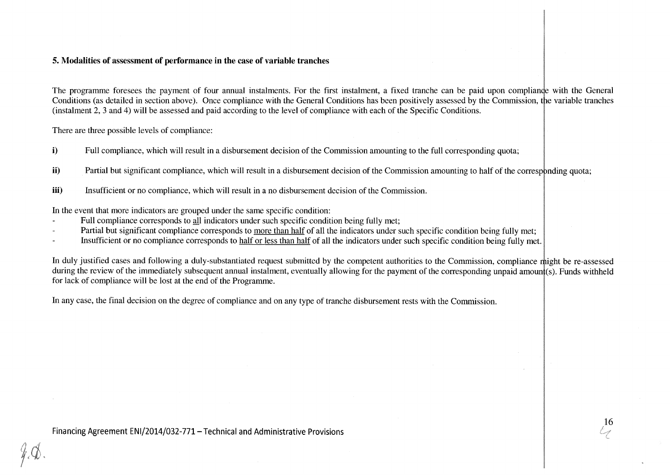### **5. Modalities of assessment of performance in the case of variable tranches**

The programme foresees the payment of four annual instalments. For the first instalment, a fixed tranche can be paid upon compliance with the General Conditions (as detailed in section above). Once compliance with the General Conditions has been positively assessed by the Commission, the variable tranches (instalment 2, 3 and 4) will be assessed and paid according to the level of compliance with each of the Specific Conditions.

There are three possible levels of compliance:

- **i)** Full compliance, which will result in a disbursement decision of the Commission amounting to the full corresponding quota;
- ii) Partial but significant compliance, which will result in a disbursement decision of the Commission amounting to half of the corresponding quota;
- **Hill iii**) Insufficient or no compliance, which will result in a no disbursement decision of the Commission.

In the event that more indicators are grouped under the same specific condition:

- Full compliance corresponds to all indicators under such specific condition being fully met;
- Partial but significant compliance corresponds to more than half of all the indicators under such specific condition being fully met;
- Insufficient or no compliance corresponds to half or less than half of all the indicators under such specific condition being fully met.

In duly justified cases and following a duly-substantiated request submitted by the competent authorities to the Commission, compliance might be re-assessed during the review of the immediately subsequent annual instalment, eventually allowing for the payment of the corresponding unpaid amount (s). Funds withheld for lack of compliance will be lost at the end of the Programme.

In any case, the final decision on the degree of compliance and on any type of tranche disbursement rests with the Commission.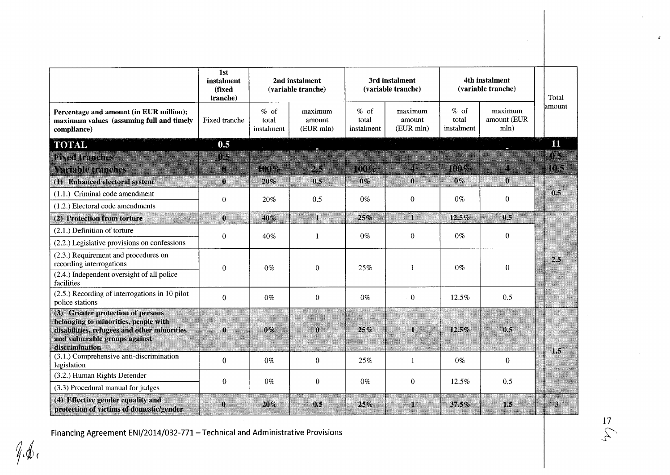|                                                                                                                                                                             | 1st<br>instalment<br>(fixed<br>tranche) | 2nd instalment<br>(variable tranche) |                                | 3rd instalment<br>(variable tranche) |                                | 4th instalment<br>(variable tranche) |                                | Total  |
|-----------------------------------------------------------------------------------------------------------------------------------------------------------------------------|-----------------------------------------|--------------------------------------|--------------------------------|--------------------------------------|--------------------------------|--------------------------------------|--------------------------------|--------|
| Percentage and amount (in EUR million);<br>maximum values (assuming full and timely<br>compliance)                                                                          | Fixed tranche                           | $%$ of<br>total<br>instalment        | maximum<br>amount<br>(EUR mln) | $%$ of<br>total<br>instalment        | maximum<br>amount<br>(EUR mln) | $%$ of<br>total<br>instalment        | maximum<br>amount (EUR<br>mln) | amount |
| <b>TOTAL</b>                                                                                                                                                                | 0.5                                     |                                      |                                |                                      |                                |                                      |                                | 11     |
| <b>Fixed tranches</b>                                                                                                                                                       | œ                                       |                                      |                                |                                      |                                |                                      |                                | 03     |
| Variable tranches                                                                                                                                                           | n                                       | mw                                   | 25                             | noz                                  | E                              | mme.                                 | B                              | IIIS   |
| (1) Enhanced electoral system                                                                                                                                               | $\pmb{0}$                               | 20%                                  | 0.5                            | 0%                                   | $\bf{0}$                       | $0\%$                                | $\bf{0}$                       |        |
| (1.1.) Criminal code amendment<br>$(1.2.)$ Electoral code amendments                                                                                                        | $\boldsymbol{0}$                        | 20%                                  | 0.5                            | $0\%$                                | $\boldsymbol{0}$               | $0\%$                                | $\theta$                       | 0.5    |
| (2) Protection from torture                                                                                                                                                 | $\mathbf{0}$                            | 40%                                  | т                              | 25%                                  | T                              | 12.5%                                | 0.5                            |        |
| $(2.1.)$ Definition of torture                                                                                                                                              |                                         |                                      |                                |                                      |                                |                                      |                                |        |
| (2.2.) Legislative provisions on confessions                                                                                                                                | $\Omega$                                | 40%                                  |                                | $0\%$                                | $\boldsymbol{0}$               | $0\%$                                | $\theta$                       |        |
| (2.3.) Requirement and procedures on<br>recording interrogations                                                                                                            | $\theta$                                | $0\%$                                | $\boldsymbol{0}$               | 25%                                  | 1                              | $0\%$                                | $\overline{0}$                 | 2.5    |
| $(2.4.)$ Independent oversight of all police<br>facilities                                                                                                                  |                                         |                                      |                                |                                      |                                |                                      |                                |        |
| (2.5.) Recording of interrogations in 10 pilot<br>police stations                                                                                                           | $\mathbf{0}$                            | $0\%$                                | $\overline{0}$                 | $0\%$                                | $\mathbf{0}$                   | 12.5%                                | 0.5                            |        |
| (3) Greater protection of persons<br>belonging to minorities, people with<br>disabilities, refugees and other minorities<br>and vulnerable groups against<br>discrimination | $\bf{0}$                                | 0%                                   | $\mathbf{0}$                   | 25%                                  | I.                             | 12.5%                                | 0.5                            | 1.5    |
| (3.1.) Comprehensive anti-discrimination<br>legislation                                                                                                                     | $\theta$                                | $0\%$                                | $\boldsymbol{0}$               | 25%                                  | 1                              | $0\%$                                | $\theta$                       |        |
| (3.2.) Human Rights Defender                                                                                                                                                | $\theta$                                | $0\%$                                | $\bf{0}$                       | $0\%$                                | $\boldsymbol{0}$               | 12.5%                                | 0.5                            |        |
| (3.3) Procedural manual for judges                                                                                                                                          |                                         |                                      |                                |                                      |                                |                                      |                                |        |
| (4) Effective gender equality and<br>protection of victims of domestic/gender                                                                                               | $\bf{0}$<br>aanna                       | 20%                                  | 0.5                            | 25%                                  | J.                             | 37.5%                                | 1.5                            | А      |

Financing Agreement ENI/2014/032-771 - Technical and Administrative Provisions

 $\frac{17}{5}$ 

 $\pmb{\delta}$